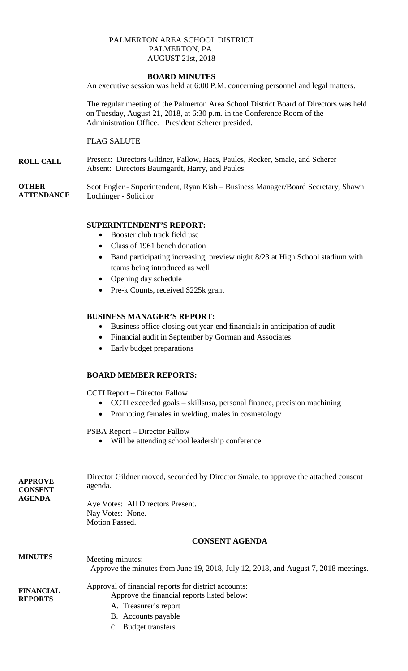#### PALMERTON AREA SCHOOL DISTRICT PALMERTON, PA. AUGUST 21st, 2018

## **BOARD MINUTES**

An executive session was held at 6:00 P.M. concerning personnel and legal matters.

The regular meeting of the Palmerton Area School District Board of Directors was held on Tuesday, August 21, 2018, at 6:30 p.m. in the Conference Room of the Administration Office. President Scherer presided.

## FLAG SALUTE

**ROLL CALL** Present: Directors Gildner, Fallow, Haas, Paules, Recker, Smale, and Scherer Absent: Directors Baumgardt, Harry, and Paules

**OTHER ATTENDANCE** Scot Engler - Superintendent, Ryan Kish – Business Manager/Board Secretary, Shawn Lochinger - Solicitor

# **SUPERINTENDENT'S REPORT:**

- Booster club track field use
- Class of 1961 bench donation
- Band participating increasing, preview night 8/23 at High School stadium with teams being introduced as well
- Opening day schedule
- Pre-k Counts, received \$225k grant

## **BUSINESS MANAGER'S REPORT:**

- Business office closing out year-end financials in anticipation of audit
- Financial audit in September by Gorman and Associates
- Early budget preparations

## **BOARD MEMBER REPORTS:**

CCTI Report – Director Fallow

- CCTI exceeded goals skillsusa, personal finance, precision machining
- Promoting females in welding, males in cosmetology

PSBA Report – Director Fallow

• Will be attending school leadership conference

| <b>APPROVE</b><br><b>CONSENT</b><br><b>AGENDA</b> | Director Gildner moved, seconded by Director Smale, to approve the attached consent<br>agenda.          |
|---------------------------------------------------|---------------------------------------------------------------------------------------------------------|
|                                                   | Aye Votes: All Directors Present.<br>Nay Votes: None.<br><b>Motion Passed.</b>                          |
|                                                   | <b>CONSENT AGENDA</b>                                                                                   |
| <b>MINUTES</b>                                    | Meeting minutes:<br>Approve the minutes from June 19, 2018, July 12, 2018, and August 7, 2018 meetings. |
| <b>FINANCIAL</b>                                  | Approval of financial reports for district accounts:                                                    |
| <b>REPORTS</b>                                    | Approve the financial reports listed below:                                                             |
|                                                   | A. Treasurer's report                                                                                   |
|                                                   | B. Accounts payable                                                                                     |
|                                                   | <b>Budget transfers</b>                                                                                 |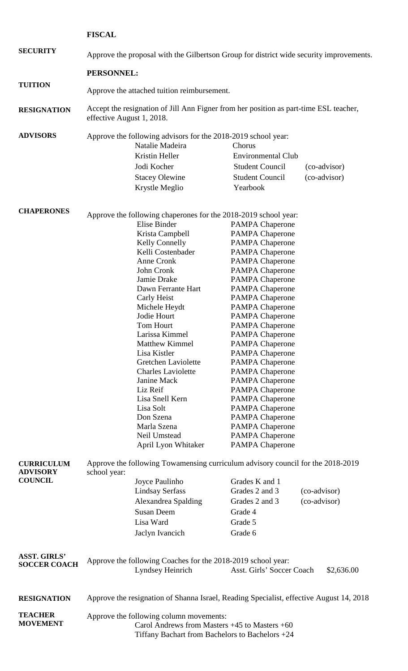**FISCAL**

**SECURITY** Approve the proposal with the Gilbertson Group for district wide security improvements.

**PERSONNEL:**

**TUITION** Approve the attached tuition reimbursement.

**RESIGNATION** Accept the resignation of Jill Ann Figner from her position as part-time ESL teacher, effective August 1, 2018.

| <b>ADVISORS</b> | Approve the following advisors for the 2018-2019 school year: |                        |              |
|-----------------|---------------------------------------------------------------|------------------------|--------------|
|                 | Natalie Madeira                                               | Chorus                 |              |
|                 | Kristin Heller                                                | Environmental Club     |              |
|                 | Jodi Kocher                                                   | <b>Student Council</b> | (co-advisor) |
|                 | <b>Stacey Olewine</b>                                         | <b>Student Council</b> | (co-advisor) |
|                 | Krystle Meglio                                                | Yearbook               |              |

| <b>CHAPERONES</b> | Approve the following chaperones for the 2018-2019 school year: |                                                                                        |
|-------------------|-----------------------------------------------------------------|----------------------------------------------------------------------------------------|
|                   | Elise Binder                                                    | PAMPA Chaperone                                                                        |
|                   | Krista Campbell                                                 | <b>PAMPA Chaperone</b>                                                                 |
|                   | Kelly Connelly                                                  | <b>PAMPA Chaperone</b>                                                                 |
|                   | Kelli Costenbader                                               | <b>PAMPA Chaperone</b>                                                                 |
|                   | Anne Cronk                                                      | <b>PAMPA Chaperone</b>                                                                 |
|                   | John Cronk                                                      | <b>PAMPA Chaperone</b>                                                                 |
|                   | Jamie Drake                                                     | <b>PAMPA Chaperone</b>                                                                 |
|                   | Dawn Ferrante Hart                                              | <b>PAMPA Chaperone</b>                                                                 |
|                   | Carly Heist                                                     | <b>PAMPA Chaperone</b>                                                                 |
|                   | Michele Heydt                                                   | <b>PAMPA Chaperone</b>                                                                 |
|                   | Jodie Hourt                                                     | <b>PAMPA Chaperone</b>                                                                 |
|                   | Tom Hourt                                                       | <b>PAMPA Chaperone</b>                                                                 |
|                   | Larissa Kimmel                                                  | <b>PAMPA Chaperone</b>                                                                 |
|                   | <b>Matthew Kimmel</b>                                           | <b>PAMPA Chaperone</b>                                                                 |
|                   | Lisa Kistler                                                    | <b>PAMPA Chaperone</b>                                                                 |
|                   | Gretchen Laviolette                                             | <b>PAMPA Chaperone</b>                                                                 |
|                   | <b>Charles Laviolette</b>                                       | <b>PAMPA Chaperone</b>                                                                 |
|                   | Janine Mack                                                     | <b>PAMPA Chaperone</b>                                                                 |
|                   | Liz Reif                                                        | <b>PAMPA Chaperone</b>                                                                 |
|                   | Lisa Snell Kern                                                 | <b>PAMPA Chaperone</b>                                                                 |
|                   | Lisa Solt                                                       | <b>PAMPA Chaperone</b>                                                                 |
|                   | Don Szena                                                       | <b>PAMPA Chaperone</b>                                                                 |
|                   | Marla Szena                                                     | <b>PAMPA Chaperone</b>                                                                 |
|                   | Neil Umstead                                                    | <b>PAMPA Chaperone</b>                                                                 |
|                   | April Lyon Whitaker                                             | <b>PAMPA Chaperone</b>                                                                 |
| CHPPICHH HM       |                                                                 | <u>Approve the following Towamensing curriculum advisory council for the 2018-2019</u> |

| <b>UURKIUULUM</b><br><b>ADVISORY</b>       | Approve the following Towaniciising curriculum advisory council for the $2018-2019$<br>school year:                                               |                                                                                         |                           |              |
|--------------------------------------------|---------------------------------------------------------------------------------------------------------------------------------------------------|-----------------------------------------------------------------------------------------|---------------------------|--------------|
| <b>COUNCIL</b>                             |                                                                                                                                                   | Joyce Paulinho                                                                          | Grades K and 1            |              |
|                                            |                                                                                                                                                   | <b>Lindsay Serfass</b>                                                                  | Grades 2 and 3            | (co-advisor) |
|                                            |                                                                                                                                                   | Alexandrea Spalding                                                                     | Grades 2 and 3            | (co-advisor) |
|                                            |                                                                                                                                                   | <b>Susan Deem</b>                                                                       | Grade 4                   |              |
|                                            |                                                                                                                                                   | Lisa Ward                                                                               | Grade 5                   |              |
|                                            |                                                                                                                                                   | Jaclyn Ivancich                                                                         | Grade 6                   |              |
| <b>ASST. GIRLS'</b><br><b>SOCCER COACH</b> |                                                                                                                                                   | Approve the following Coaches for the 2018-2019 school year:<br>Lyndsey Heinrich        | Asst. Girls' Soccer Coach | \$2,636.00   |
| <b>RESIGNATION</b>                         |                                                                                                                                                   | Approve the resignation of Shanna Israel, Reading Specialist, effective August 14, 2018 |                           |              |
| <b>TEACHER</b><br><b>MOVEMENT</b>          | Approve the following column movements:<br>Carol Andrews from Masters $+45$ to Masters $+60$<br>Tiffany Bachart from Bachelors to Bachelors $+24$ |                                                                                         |                           |              |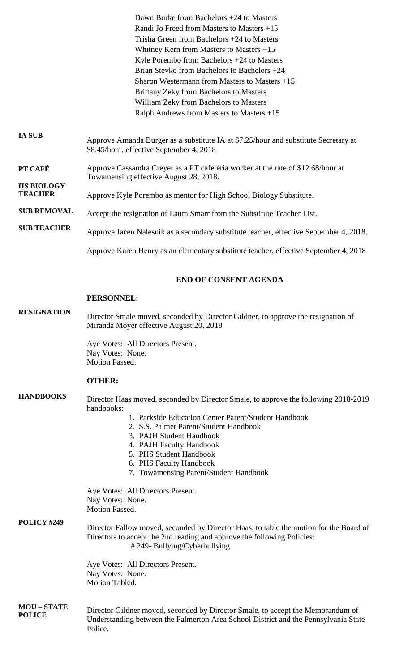**IA SUB PT CAFÉ HS BIOLOGY TEACHER SUB REMOVAL SUB TEACHER** Dawn Burke from Bachelors +24 to Masters Randi Jo Freed from Masters to Masters +15 Trisha Green from Bachelors +24 to Masters Whitney Kern from Masters to Masters +15 Kyle Porembo from Bachelors +24 to Masters Brian Stevko from Bachelors to Bachelors +24 Sharon Westermann from Masters to Masters +15 Brittany Zeky from Bachelors to Masters William Zeky from Bachelors to Masters Ralph Andrews from Masters to Masters +15 Approve Amanda Burger as a substitute IA at \$7.25/hour and substitute Secretary at \$8.45/hour, effective September 4, 2018 Approve Cassandra Creyer as a PT cafeteria worker at the rate of \$12.68/hour at Towamensing effective August 28, 2018. Approve Kyle Porembo as mentor for High School Biology Substitute. Accept the resignation of Laura Smarr from the Substitute Teacher List. Approve Jacen Nalesnik as a secondary substitute teacher, effective September 4, 2018. Approve Karen Henry as an elementary substitute teacher, effective September 4, 2018

## **END OF CONSENT AGENDA**

#### **PERSONNEL:**

**RESIGNATION** Director Smale moved, seconded by Director Gildner, to approve the resignation of Miranda Moyer effective August 20, 2018

> Aye Votes: All Directors Present. Nay Votes: None. Motion Passed.

## **OTHER:**

**HANDBOOKS** Director Haas moved, seconded by Director Smale, to approve the following 2018-2019 handbooks:

- 1. Parkside Education Center Parent/Student Handbook
- 2. S.S. Palmer Parent/Student Handbook
- 3. PAJH Student Handbook
- 4. PAJH Faculty Handbook
- 5. PHS Student Handbook
- 6. PHS Faculty Handbook
- 7. Towamensing Parent/Student Handbook

|                                     | Aye Votes: All Directors Present.<br>Nay Votes: None.<br><b>Motion Passed.</b>                                                                                                                        |
|-------------------------------------|-------------------------------------------------------------------------------------------------------------------------------------------------------------------------------------------------------|
| POLICY #249                         | Director Fallow moved, seconded by Director Haas, to table the motion for the Board of<br>Directors to accept the 2nd reading and approve the following Policies:<br>$\#$ 249- Bullying/Cyberbullying |
|                                     | Aye Votes: All Directors Present.<br>Nay Votes: None.<br>Motion Tabled.                                                                                                                               |
| <b>MOU – STATE</b><br><b>POLICE</b> | Director Gildner moved, seconded by Director Smale, to accept the Memorandum of<br>Understanding between the Palmerton Area School District and the Pennsylvania State<br>Police.                     |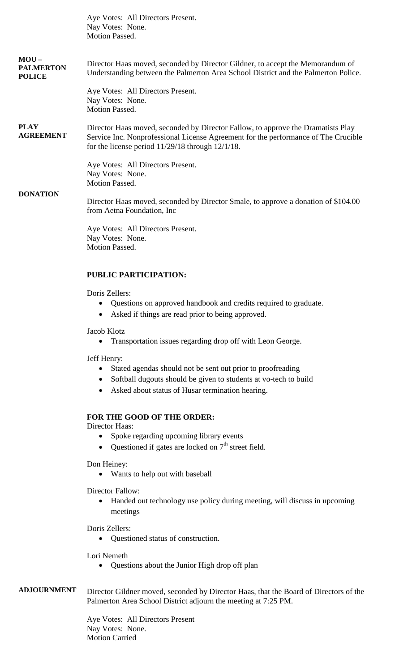|                                             | Aye Votes: All Directors Present.<br>Nay Votes: None.                                                                                                                                                                           |
|---------------------------------------------|---------------------------------------------------------------------------------------------------------------------------------------------------------------------------------------------------------------------------------|
|                                             | Motion Passed.                                                                                                                                                                                                                  |
|                                             |                                                                                                                                                                                                                                 |
| $MOU-$<br><b>PALMERTON</b><br><b>POLICE</b> | Director Haas moved, seconded by Director Gildner, to accept the Memorandum of<br>Understanding between the Palmerton Area School District and the Palmerton Police.                                                            |
|                                             | Aye Votes: All Directors Present.<br>Nay Votes: None.<br>Motion Passed.                                                                                                                                                         |
| <b>PLAY</b><br><b>AGREEMENT</b>             | Director Haas moved, seconded by Director Fallow, to approve the Dramatists Play<br>Service Inc. Nonprofessional License Agreement for the performance of The Crucible<br>for the license period $11/29/18$ through $12/1/18$ . |
|                                             | Aye Votes: All Directors Present.<br>Nay Votes: None.                                                                                                                                                                           |
|                                             | <b>Motion Passed.</b>                                                                                                                                                                                                           |
| <b>DONATION</b>                             | Director Haas moved, seconded by Director Smale, to approve a donation of \$104.00<br>from Aetna Foundation, Inc.                                                                                                               |
|                                             | Aye Votes: All Directors Present.                                                                                                                                                                                               |
|                                             | Nay Votes: None.<br>Motion Passed.                                                                                                                                                                                              |
|                                             |                                                                                                                                                                                                                                 |
|                                             | <b>PUBLIC PARTICIPATION:</b>                                                                                                                                                                                                    |
|                                             | Doris Zellers:                                                                                                                                                                                                                  |
|                                             | Questions on approved handbook and credits required to graduate.                                                                                                                                                                |
|                                             | Asked if things are read prior to being approved.                                                                                                                                                                               |
|                                             | Jacob Klotz<br>Transportation issues regarding drop off with Leon George.                                                                                                                                                       |
|                                             | Jeff Henry:                                                                                                                                                                                                                     |
|                                             | Stated agendas should not be sent out prior to proofreading                                                                                                                                                                     |
|                                             | Softball dugouts should be given to students at vo-tech to build<br>٠                                                                                                                                                           |
|                                             | Asked about status of Husar termination hearing.                                                                                                                                                                                |
|                                             | FOR THE GOOD OF THE ORDER:                                                                                                                                                                                                      |
|                                             | Director Haas:                                                                                                                                                                                                                  |
|                                             | Spoke regarding upcoming library events                                                                                                                                                                                         |

• Questioned if gates are locked on  $7<sup>th</sup>$  street field.

Don Heiney:

• Wants to help out with baseball

Director Fallow:

• Handed out technology use policy during meeting, will discuss in upcoming meetings

Doris Zellers:

• Questioned status of construction.

Lori Nemeth

• Questions about the Junior High drop off plan

**ADJOURNMENT** Director Gildner moved, seconded by Director Haas, that the Board of Directors of the Palmerton Area School District adjourn the meeting at 7:25 PM.

> Aye Votes: All Directors Present Nay Votes: None. Motion Carried